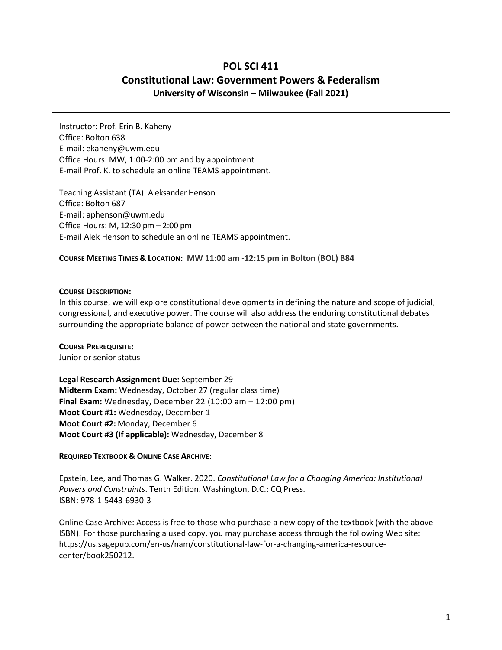# **POL SCI 411 Constitutional Law: Government Powers & Federalism University of Wisconsin – Milwaukee (Fall 2021)**

Instructor: Prof. Erin B. Kaheny Office: Bolton 638 E-mail: [ekaheny@uwm.edu](mailto:ekaheny@uwm.edu) Office Hours: MW, 1:00-2:00 pm and by appointment E-mail Prof. K. to schedule an online TEAMS appointment.

Teaching Assistant (TA): Aleksander Henson Office: Bolton 687 E-mail: aphenson@uwm.edu Office Hours: M, 12:30 pm – 2:00 pm E-mail Alek Henson to schedule an online TEAMS appointment.

#### **COURSE MEETING TIMES & LOCATION: MW 11:00 am -12:15 pm in Bolton (BOL) B84**

#### **COURSE DESCRIPTION:**

In this course, we will explore constitutional developments in defining the nature and scope of judicial, congressional, and executive power. The course will also address the enduring constitutional debates surrounding the appropriate balance of power between the national and state governments.

#### **COURSE PREREQUISITE:**

Junior or senior status

**Legal Research Assignment Due:** September 29 **Midterm Exam:** Wednesday, October 27 (regular class time) **Final Exam:** Wednesday, December 22 (10:00 am – 12:00 pm) **Moot Court #1:** Wednesday, December 1 **Moot Court #2:** Monday, December 6 **Moot Court #3 (If applicable):** Wednesday, December 8

## **REQUIRED TEXTBOOK & ONLINE CASE ARCHIVE:**

Epstein, Lee, and Thomas G. Walker. 2020. *Constitutional Law for a Changing America: Institutional Powers and Constraints*. Tenth Edition. Washington, D.C.: CQ Press. ISBN: 978-1-5443-6930-3

Online Case Archive: Access is free to those who purchase a new copy of the textbook (with the above ISBN). For those purchasing a used copy, you may purchase access through the following Web site: https://us.sagepub.com/en-us/nam/constitutional-law-for-a-changing-america-resourcecenter/book250212.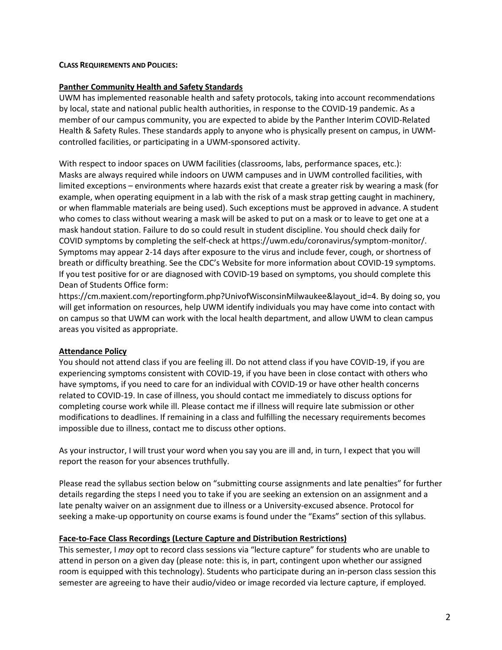#### **CLASS REQUIREMENTS AND POLICIES:**

#### **Panther Community Health and Safety Standards**

UWM has implemented reasonable health and safety protocols, taking into account recommendations by local, state and national public health authorities, in response to the COVID-19 pandemic. As a member of our campus community, you are expected to abide by the Panther Interim COVID-Related Health & Safety Rules. These standards apply to anyone who is physically present on campus, in UWMcontrolled facilities, or participating in a UWM-sponsored activity.

With respect to indoor spaces on UWM facilities (classrooms, labs, performance spaces, etc.): Masks are always required while indoors on UWM campuses and in UWM controlled facilities, with limited exceptions – environments where hazards exist that create a greater risk by wearing a mask (for example, when operating equipment in a lab with the risk of a mask strap getting caught in machinery, or when flammable materials are being used). Such exceptions must be approved in advance. A student who comes to class without wearing a mask will be asked to put on a mask or to leave to get one at a mask handout station. Failure to do so could result in student discipline. You should check daily for COVID symptoms by completing the self-check at https://uwm.edu/coronavirus/symptom-monitor/. Symptoms may appear 2-14 days after exposure to the virus and include fever, cough, or shortness of breath or difficulty breathing. See the CDC's Website for more information about COVID-19 symptoms. If you test positive for or are diagnosed with COVID-19 based on symptoms, you should complete this Dean of Students Office form:

https://cm.maxient.com/reportingform.php?UnivofWisconsinMilwaukee&layout\_id=4. By doing so, you will get information on resources, help UWM identify individuals you may have come into contact with on campus so that UWM can work with the local health department, and allow UWM to clean campus areas you visited as appropriate.

## **Attendance Policy**

You should not attend class if you are feeling ill. Do not attend class if you have COVID-19, if you are experiencing symptoms consistent with COVID-19, if you have been in close contact with others who have symptoms, if you need to care for an individual with COVID-19 or have other health concerns related to COVID-19. In case of illness, you should contact me immediately to discuss options for completing course work while ill. Please contact me if illness will require late submission or other modifications to deadlines. If remaining in a class and fulfilling the necessary requirements becomes impossible due to illness, contact me to discuss other options.

As your instructor, I will trust your word when you say you are ill and, in turn, I expect that you will report the reason for your absences truthfully.

Please read the syllabus section below on "submitting course assignments and late penalties" for further details regarding the steps I need you to take if you are seeking an extension on an assignment and a late penalty waiver on an assignment due to illness or a University-excused absence. Protocol for seeking a make-up opportunity on course exams is found under the "Exams" section of this syllabus.

#### **Face-to-Face Class Recordings (Lecture Capture and Distribution Restrictions)**

This semester, I *may* opt to record class sessions via "lecture capture" for students who are unable to attend in person on a given day (please note: this is, in part, contingent upon whether our assigned room is equipped with this technology). Students who participate during an in-person class session this semester are agreeing to have their audio/video or image recorded via lecture capture, if employed.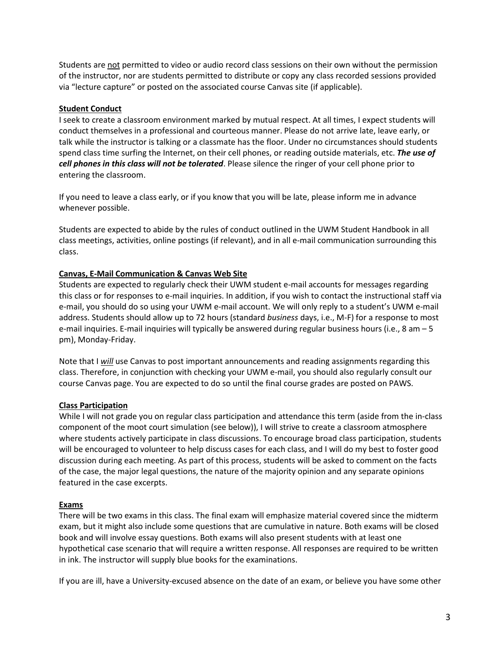Students are not permitted to video or audio record class sessions on their own without the permission of the instructor, nor are students permitted to distribute or copy any class recorded sessions provided via "lecture capture" or posted on the associated course Canvas site (if applicable).

# **Student Conduct**

I seek to create a classroom environment marked by mutual respect. At all times, I expect students will conduct themselves in a professional and courteous manner. Please do not arrive late, leave early, or talk while the instructor is talking or a classmate has the floor. Under no circumstances should students spend class time surfing the Internet, on their cell phones, or reading outside materials, etc. *The use of cell phones in this class will not be tolerated*. Please silence the ringer of your cell phone prior to entering the classroom.

If you need to leave a class early, or if you know that you will be late, please inform me in advance whenever possible.

Students are expected to abide by the rules of conduct outlined in the UWM Student Handbook in all class meetings, activities, online postings (if relevant), and in all e-mail communication surrounding this class.

# **Canvas, E-Mail Communication & Canvas Web Site**

Students are expected to regularly check their UWM student e-mail accounts for messages regarding this class or for responses to e-mail inquiries. In addition, if you wish to contact the instructional staff via e-mail, you should do so using your UWM e-mail account. We will only reply to a student's UWM e-mail address. Students should allow up to 72 hours (standard *business* days, i.e., M-F) for a response to most e-mail inquiries. E-mail inquiries will typically be answered during regular business hours (i.e., 8 am – 5 pm), Monday-Friday.

Note that I *will* use Canvas to post important announcements and reading assignments regarding this class. Therefore, in conjunction with checking your UWM e-mail, you should also regularly consult our course Canvas page. You are expected to do so until the final course grades are posted on PAWS.

# **Class Participation**

While I will not grade you on regular class participation and attendance this term (aside from the in-class component of the moot court simulation (see below)), I will strive to create a classroom atmosphere where students actively participate in class discussions. To encourage broad class participation, students will be encouraged to volunteer to help discuss cases for each class, and I will do my best to foster good discussion during each meeting. As part of this process, students will be asked to comment on the facts of the case, the major legal questions, the nature of the majority opinion and any separate opinions featured in the case excerpts.

## **Exams**

There will be two exams in this class. The final exam will emphasize material covered since the midterm exam, but it might also include some questions that are cumulative in nature. Both exams will be closed book and will involve essay questions. Both exams will also present students with at least one hypothetical case scenario that will require a written response. All responses are required to be written in ink. The instructor will supply blue books for the examinations.

If you are ill, have a University-excused absence on the date of an exam, or believe you have some other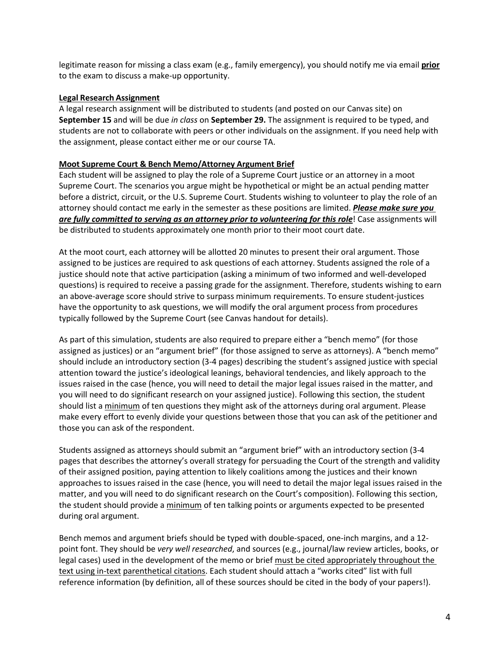legitimate reason for missing a class exam (e.g., family emergency), you should notify me via email **prior** to the exam to discuss a make-up opportunity.

## **Legal Research Assignment**

A legal research assignment will be distributed to students (and posted on our Canvas site) on **September 15** and will be due *in class* on **September 29.** The assignment is required to be typed, and students are not to collaborate with peers or other individuals on the assignment. If you need help with the assignment, please contact either me or our course TA.

#### **Moot Supreme Court & Bench Memo/Attorney Argument Brief**

Each student will be assigned to play the role of a Supreme Court justice or an attorney in a moot Supreme Court. The scenarios you argue might be hypothetical or might be an actual pending matter before a district, circuit, or the U.S. Supreme Court. Students wishing to volunteer to play the role of an attorney should contact me early in the semester as these positions are limited. *Please make sure you are fully committed to serving as an attorney prior to volunteering for this role*! Case assignments will be distributed to students approximately one month prior to their moot court date.

At the moot court, each attorney will be allotted 20 minutes to present their oral argument. Those assigned to be justices are required to ask questions of each attorney. Students assigned the role of a justice should note that active participation (asking a minimum of two informed and well-developed questions) is required to receive a passing grade for the assignment. Therefore, students wishing to earn an above-average score should strive to surpass minimum requirements. To ensure student-justices have the opportunity to ask questions, we will modify the oral argument process from procedures typically followed by the Supreme Court (see Canvas handout for details).

As part of this simulation, students are also required to prepare either a "bench memo" (for those assigned as justices) or an "argument brief" (for those assigned to serve as attorneys). A "bench memo" should include an introductory section (3-4 pages) describing the student's assigned justice with special attention toward the justice's ideological leanings, behavioral tendencies, and likely approach to the issues raised in the case (hence, you will need to detail the major legal issues raised in the matter, and you will need to do significant research on your assigned justice). Following this section, the student should list a minimum of ten questions they might ask of the attorneys during oral argument. Please make every effort to evenly divide your questions between those that you can ask of the petitioner and those you can ask of the respondent.

Students assigned as attorneys should submit an "argument brief" with an introductory section (3-4 pages that describes the attorney's overall strategy for persuading the Court of the strength and validity of their assigned position, paying attention to likely coalitions among the justices and their known approaches to issues raised in the case (hence, you will need to detail the major legal issues raised in the matter, and you will need to do significant research on the Court's composition). Following this section, the student should provide a minimum of ten talking points or arguments expected to be presented during oral argument.

Bench memos and argument briefs should be typed with double-spaced, one-inch margins, and a 12 point font. They should be *very well researched*, and sources (e.g., journal/law review articles, books, or legal cases) used in the development of the memo or brief must be cited appropriately throughout the text using in-text parenthetical citations. Each student should attach a "works cited" list with full reference information (by definition, all of these sources should be cited in the body of your papers!).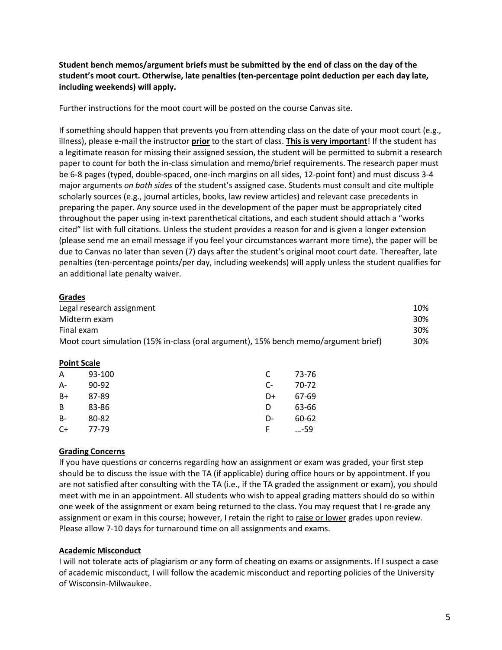**Student bench memos/argument briefs must be submitted by the end of class on the day of the student's moot court. Otherwise, late penalties (ten-percentage point deduction per each day late, including weekends) will apply.**

Further instructions for the moot court will be posted on the course Canvas site.

If something should happen that prevents you from attending class on the date of your moot court (e.g., illness), please e-mail the instructor **prior** to the start of class. **This is very important**! If the student has a legitimate reason for missing their assigned session, the student will be permitted to submit a research paper to count for both the in-class simulation and memo/brief requirements. The research paper must be 6-8 pages (typed, double-spaced, one-inch margins on all sides, 12-point font) and must discuss 3-4 major arguments *on both sides* of the student's assigned case. Students must consult and cite multiple scholarly sources (e.g., journal articles, books, law review articles) and relevant case precedents in preparing the paper. Any source used in the development of the paper must be appropriately cited throughout the paper using in-text parenthetical citations, and each student should attach a "works cited" list with full citations. Unless the student provides a reason for and is given a longer extension (please send me an email message if you feel your circumstances warrant more time), the paper will be due to Canvas no later than seven (7) days after the student's original moot court date. Thereafter, late penalties (ten-percentage points/per day, including weekends) will apply unless the student qualifies for an additional late penalty waiver.

# **Grades**

| Legal research assignment                                                           | 10% |
|-------------------------------------------------------------------------------------|-----|
| Midterm exam                                                                        | 30% |
| Final exam                                                                          | 30% |
| Moot court simulation (15% in-class (oral argument), 15% bench memo/argument brief) | 30% |

## **Point Scale**

| A         | 93-100    |                        | 73-76 |
|-----------|-----------|------------------------|-------|
| $A -$     | $90 - 92$ | $\mathsf{C}\mathsf{-}$ | 70-72 |
| $B+$      | 87-89     | D+                     | 67-69 |
| B         | 83-86     | D                      | 63-66 |
| <b>B-</b> | 80-82     | D-                     | 60-62 |
| C+        | 77-79     | F                      | …-59  |

## **Grading Concerns**

If you have questions or concerns regarding how an assignment or exam was graded, your first step should be to discuss the issue with the TA (if applicable) during office hours or by appointment. If you are not satisfied after consulting with the TA (i.e., if the TA graded the assignment or exam), you should meet with me in an appointment. All students who wish to appeal grading matters should do so within one week of the assignment or exam being returned to the class. You may request that I re-grade any assignment or exam in this course; however, I retain the right to raise or lower grades upon review. Please allow 7-10 days for turnaround time on all assignments and exams.

## **Academic Misconduct**

I will not tolerate acts of plagiarism or any form of cheating on exams or assignments. If I suspect a case of academic misconduct, I will follow the academic misconduct and reporting policies of the University of Wisconsin-Milwaukee.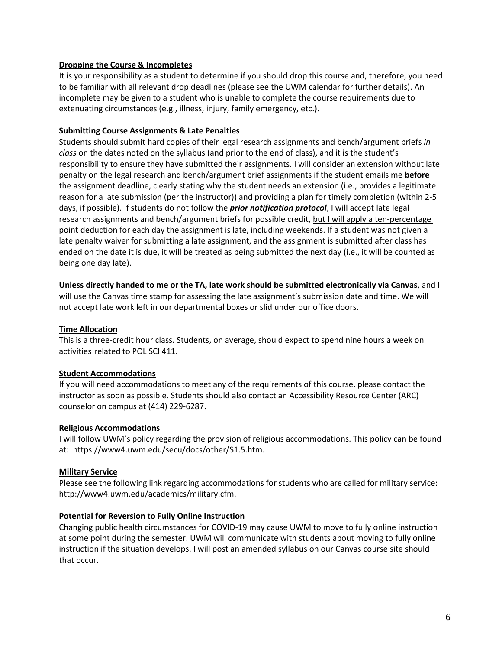# **Dropping the Course & Incompletes**

It is your responsibility as a student to determine if you should drop this course and, therefore, you need to be familiar with all relevant drop deadlines (please see the UWM calendar for further details). An incomplete may be given to a student who is unable to complete the course requirements due to extenuating circumstances (e.g., illness, injury, family emergency, etc.).

# **Submitting Course Assignments & Late Penalties**

Students should submit hard copies of their legal research assignments and bench/argument briefs *in class* on the dates noted on the syllabus (and prior to the end of class), and it is the student's responsibility to ensure they have submitted their assignments. I will consider an extension without late penalty on the legal research and bench/argument brief assignments if the student emails me **before** the assignment deadline, clearly stating why the student needs an extension (i.e., provides a legitimate reason for a late submission (per the instructor)) and providing a plan for timely completion (within 2-5 days, if possible). If students do not follow the *prior notification protocol*, I will accept late legal research assignments and bench/argument briefs for possible credit, but I will apply a ten-percentage point deduction for each day the assignment is late, including weekends. If a student was not given a late penalty waiver for submitting a late assignment, and the assignment is submitted after class has ended on the date it is due, it will be treated as being submitted the next day (i.e., it will be counted as being one day late).

**Unless directly handed to me or the TA, late work should be submitted electronically via Canvas**, and I will use the Canvas time stamp for assessing the late assignment's submission date and time. We will not accept late work left in our departmental boxes or slid under our office doors.

# **Time Allocation**

This is a three-credit hour class. Students, on average, should expect to spend nine hours a week on activities related to POL SCI 411.

## **Student Accommodations**

If you will need accommodations to meet any of the requirements of this course, please contact the instructor as soon as possible. Students should also contact an Accessibility Resource Center (ARC) counselor on campus at (414) 229-6287.

## **Religious Accommodations**

I will follow UWM's policy regarding the provision of religious accommodations. This policy can be found at: https://www4.uwm.edu/secu/docs/other/S1.5.htm.

## **Military Service**

Please see the following link regarding accommodations for students who are called for military service: [http://www4.uwm.edu/academics/military.cfm.](http://www4.uwm.edu/academics/military.cfm)

## **Potential for Reversion to Fully Online Instruction**

Changing public health circumstances for COVID-19 may cause UWM to move to fully online instruction at some point during the semester. UWM will communicate with students about moving to fully online instruction if the situation develops. I will post an amended syllabus on our Canvas course site should that occur.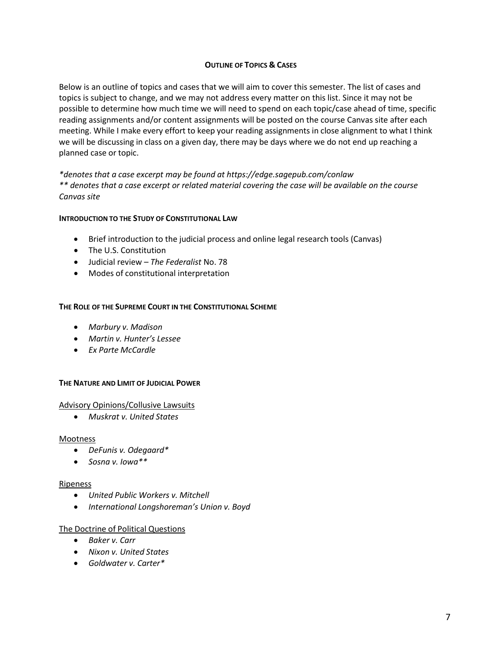# **OUTLINE OF TOPICS & CASES**

Below is an outline of topics and cases that we will aim to cover this semester. The list of cases and topics is subject to change, and we may not address every matter on this list. Since it may not be possible to determine how much time we will need to spend on each topic/case ahead of time, specific reading assignments and/or content assignments will be posted on the course Canvas site after each meeting. While I make every effort to keep your reading assignments in close alignment to what I think we will be discussing in class on a given day, there may be days where we do not end up reaching a planned case or topic.

*\*denotes that a case excerpt may be found at https://edge.sagepub.com/conlaw \*\* denotes that a case excerpt or related material covering the case will be available on the course Canvas site*

## **INTRODUCTION TO THE STUDY OF CONSTITUTIONAL LAW**

- Brief introduction to the judicial process and online legal research tools (Canvas)
- The U.S. Constitution
- Judicial review *The Federalist* No. 78
- Modes of constitutional interpretation

## **THE ROLE OF THE SUPREME COURT IN THE CONSTITUTIONAL SCHEME**

- *Marbury v. Madison*
- *Martin v. Hunter's Lessee*
- *Ex Parte McCardle*

## **THE NATURE AND LIMIT OF JUDICIAL POWER**

## Advisory Opinions/Collusive Lawsuits

• *Muskrat v. United States*

#### Mootness

- *DeFunis v. Odegaard\**
- *Sosna v. Iowa\*\**

#### Ripeness

- *United Public Workers v. Mitchell*
- *International Longshoreman's Union v. Boyd*

## The Doctrine of Political Questions

- *Baker v. Carr*
- *Nixon v. United States*
- *Goldwater v. Carter\**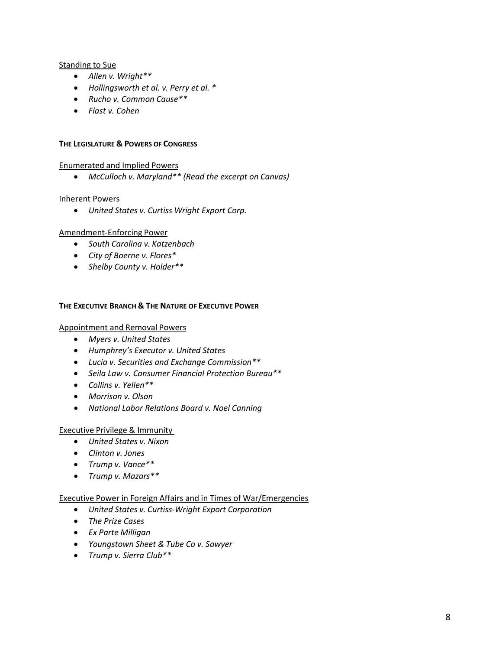# Standing to Sue

- *Allen v. Wright\*\**
- *Hollingsworth et al. v. Perry et al. \**
- *Rucho v. Common Cause\*\**
- *Flast v. Cohen*

#### **THE LEGISLATURE & POWERS OF CONGRESS**

## Enumerated and Implied Powers

• *McCulloch v. Maryland\*\* (Read the excerpt on Canvas)*

#### Inherent Powers

• *United States v. Curtiss Wright Export Corp.*

#### Amendment-Enforcing Power

- *South Carolina v. Katzenbach*
- *City of Boerne v. Flores\**
- *Shelby County v. Holder\*\**

#### **THE EXECUTIVE BRANCH & THE NATURE OF EXECUTIVE POWER**

# Appointment and Removal Powers

- *Myers v. United States*
- *Humphrey's Executor v. United States*
- *Lucia v. Securities and Exchange Commission\*\**
- *Seila Law v. Consumer Financial Protection Bureau\*\**
- *Collins v. Yellen\*\**
- *Morrison v. Olson*
- *National Labor Relations Board v. Noel Canning*

## Executive Privilege & Immunity

- *United States v. Nixon*
- *Clinton v. Jones*
- *Trump v. Vance\*\**
- *Trump v. Mazars\*\**

#### Executive Power in Foreign Affairs and in Times of War/Emergencies

- *United States v. Curtiss-Wright Export Corporation*
- *The Prize Cases*
- *Ex Parte Milligan*
- *Youngstown Sheet & Tube Co v. Sawyer*
- *Trump v. Sierra Club\*\**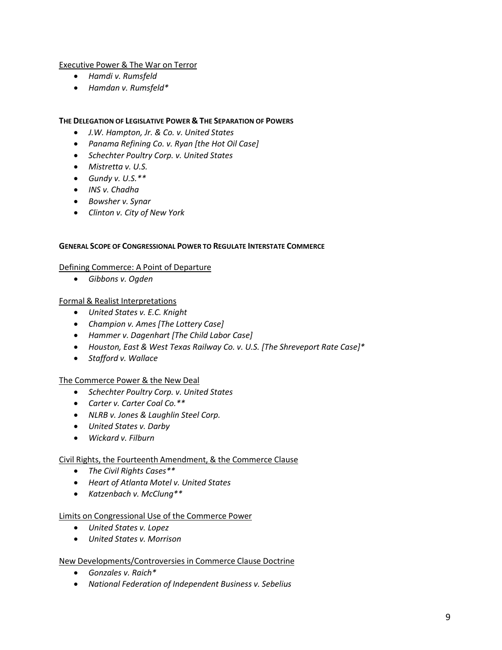# Executive Power & The War on Terror

- *Hamdi v. Rumsfeld*
- *Hamdan v. Rumsfeld\**

#### **THE DELEGATION OF LEGISLATIVE POWER & THE SEPARATION OF POWERS**

- *J.W. Hampton, Jr. & Co. v. United States*
- *Panama Refining Co. v. Ryan [the Hot Oil Case]*
- *Schechter Poultry Corp. v. United States*
- *Mistretta v. U.S.*
- *Gundy v. U.S.\*\**
- *INS v. Chadha*
- *Bowsher v. Synar*
- *Clinton v. City of New York*

#### **GENERAL SCOPE OF CONGRESSIONAL POWER TO REGULATE INTERSTATE COMMERCE**

#### Defining Commerce: A Point of Departure

• *Gibbons v. Ogden*

## Formal & Realist Interpretations

- *United States v. E.C. Knight*
- *Champion v. Ames [The Lottery Case]*
- *Hammer v. Dagenhart [The Child Labor Case]*
- *Houston, East & West Texas Railway Co. v. U.S. [The Shreveport Rate Case]\**
- *Stafford v. Wallace*

## The Commerce Power & the New Deal

- *Schechter Poultry Corp. v. United States*
- *Carter v. Carter Coal Co.\*\**
- *NLRB v. Jones & Laughlin Steel Corp.*
- *United States v. Darby*
- *Wickard v. Filburn*

## Civil Rights, the Fourteenth Amendment, & the Commerce Clause

- *The Civil Rights Cases\*\**
- *Heart of Atlanta Motel v. United States*
- *Katzenbach v. McClung\*\**

## Limits on Congressional Use of the Commerce Power

- *United States v. Lopez*
- *United States v. Morrison*

## New Developments/Controversies in Commerce Clause Doctrine

- *Gonzales v. Raich\**
- *National Federation of Independent Business v. Sebelius*